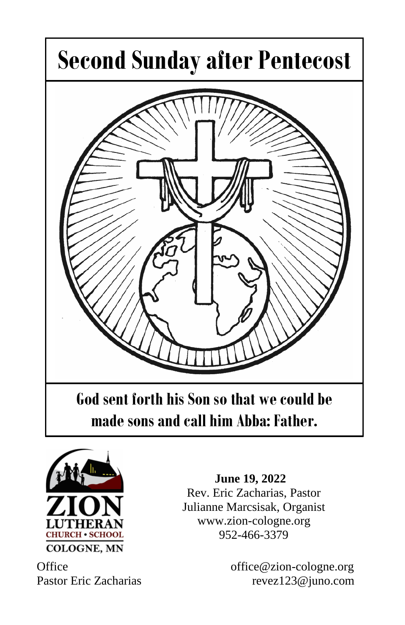



 **June 19, 2022** Rev. Eric Zacharias, Pastor Julianne Marcsisak, Organist www.zion-cologne.org 952-466-3379

Office office office office office office of  $\alpha$ Pastor Eric Zacharias revez123@juno.com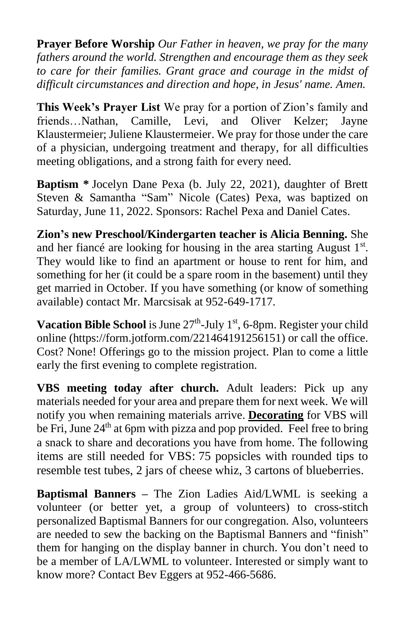**Prayer Before Worship** *Our Father in heaven, we pray for the many fathers around the world. Strengthen and encourage them as they seek to care for their families. Grant grace and courage in the midst of difficult circumstances and direction and hope, in Jesus' name. Amen.*

**This Week's Prayer List** We pray for a portion of Zion's family and friends…Nathan, Camille, Levi, and Oliver Kelzer; Jayne Klaustermeier; Juliene Klaustermeier. We pray for those under the care of a physician, undergoing treatment and therapy, for all difficulties meeting obligations, and a strong faith for every need.

**Baptism \*** Jocelyn Dane Pexa (b. July 22, 2021), daughter of Brett Steven & Samantha "Sam" Nicole (Cates) Pexa, was baptized on Saturday, June 11, 2022. Sponsors: Rachel Pexa and Daniel Cates.

**Zion's new Preschool/Kindergarten teacher is Alicia Benning.** She and her fiancé are looking for housing in the area starting August  $1<sup>st</sup>$ . They would like to find an apartment or house to rent for him, and something for her (it could be a spare room in the basement) until they get married in October. If you have something (or know of something available) contact Mr. Marcsisak at 952-649-1717.

Vacation Bible School is June 27<sup>th</sup>-July 1<sup>st</sup>, 6-8pm. Register your child online (https://form.jotform.com/221464191256151) or call the office. Cost? None! Offerings go to the mission project. Plan to come a little early the first evening to complete registration.

**VBS meeting today after church.** Adult leaders: Pick up any materials needed for your area and prepare them for next week. We will notify you when remaining materials arrive. **Decorating** for VBS will be Fri. June  $24<sup>th</sup>$  at 6pm with pizza and pop provided. Feel free to bring a snack to share and decorations you have from home. The following items are still needed for VBS: 75 popsicles with rounded tips to resemble test tubes, 2 jars of cheese whiz, 3 cartons of blueberries.

**Baptismal Banners –** The Zion Ladies Aid/LWML is seeking a volunteer (or better yet, a group of volunteers) to cross-stitch personalized Baptismal Banners for our congregation. Also, volunteers are needed to sew the backing on the Baptismal Banners and "finish" them for hanging on the display banner in church. You don't need to be a member of LA/LWML to volunteer. Interested or simply want to know more? Contact Bev Eggers at 952-466-5686.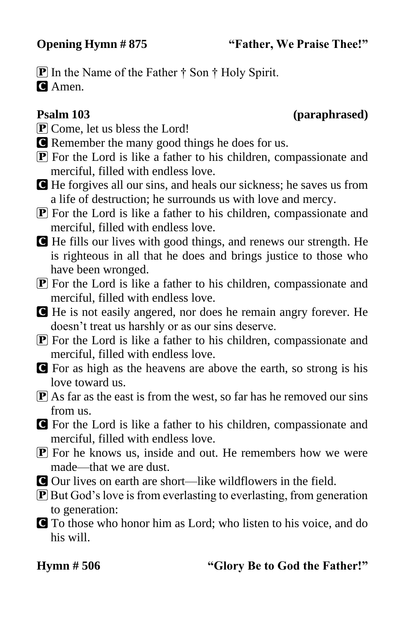**Opening Hymn # 875 "Father, We Praise Thee!"**

**P** In the Name of the Father  $\dagger$  Son  $\dagger$  Holy Spirit. **C** Amen.

## **Psalm 103 (paraphrased)**

- $\overline{\mathbf{P}}$  Come, let us bless the Lord!
- C Remember the many good things he does for us.
- P For the Lord is like a father to his children, compassionate and merciful, filled with endless love.
- C He forgives all our sins, and heals our sickness; he saves us from a life of destruction; he surrounds us with love and mercy.
- P For the Lord is like a father to his children, compassionate and merciful, filled with endless love.
- C He fills our lives with good things, and renews our strength. He is righteous in all that he does and brings justice to those who have been wronged.
- P For the Lord is like a father to his children, compassionate and merciful, filled with endless love.
- C He is not easily angered, nor does he remain angry forever. He doesn't treat us harshly or as our sins deserve.
- $\overline{P}$  For the Lord is like a father to his children, compassionate and merciful, filled with endless love.
- C For as high as the heavens are above the earth, so strong is his love toward us.
- $\bf{P}$  As far as the east is from the west, so far has he removed our sins from us.
- C For the Lord is like a father to his children, compassionate and merciful, filled with endless love.
- **P** For he knows us, inside and out. He remembers how we were made—that we are dust.
- C Our lives on earth are short—like wildflowers in the field.
- P But God's love is from everlasting to everlasting, from generation to generation:
- C To those who honor him as Lord; who listen to his voice, and do his will.

## **Hymn # 506 "Glory Be to God the Father!"**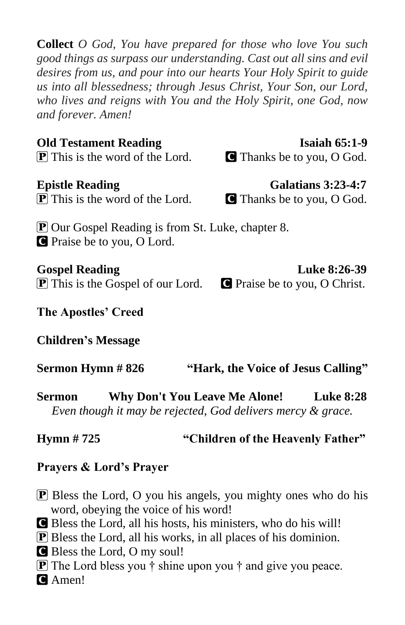**Collect** *O God, You have prepared for those who love You such good things as surpass our understanding. Cast out all sins and evil desires from us, and pour into our hearts Your Holy Spirit to guide us into all blessedness; through Jesus Christ, Your Son, our Lord, who lives and reigns with You and the Holy Spirit, one God, now and forever. Amen!*

## **Old Testament Reading Isaiah 65:1-9**

**P** This is the word of the Lord. C Thanks be to you, O God.

 $\boxed{\mathbf{P}}$  This is the word of the Lord.  $\boxed{\mathbf{C}}$  Thanks be to you, O God.

P Our Gospel Reading is from St. Luke, chapter 8. C Praise be to you, O Lord.

**P** This is the Gospel of our Lord. **C** Praise be to you, O Christ.

**The Apostles' Creed**

**Children's Message**

**Sermon Hymn # 826 "Hark, the Voice of Jesus Calling"**

**Sermon Why Don't You Leave Me Alone! Luke 8:28** *Even though it may be rejected, God delivers mercy & grace.*

# **Hymn # 725 "Children of the Heavenly Father"**

## **Prayers & Lord's Prayer**

**P** Bless the Lord, O you his angels, you mighty ones who do his word, obeying the voice of his word!

C Bless the Lord, all his hosts, his ministers, who do his will!

P Bless the Lord, all his works, in all places of his dominion.

C Bless the Lord, O my soul!

 $\mathbf{P}$  The Lord bless you  $\dagger$  shine upon you  $\dagger$  and give you peace.

C Amen!

**Epistle Reading Galatians 3:23-4:7** 

Gospel Reading Luke 8:26-39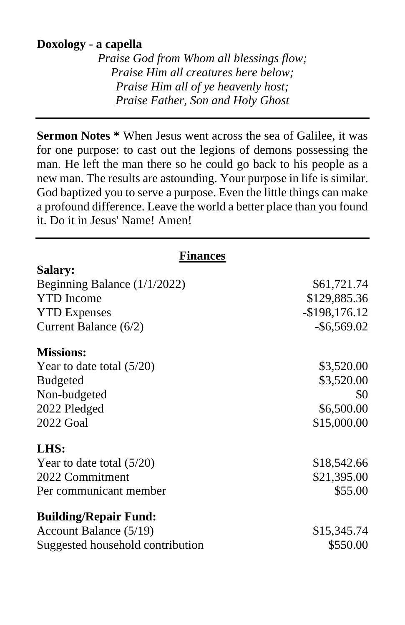## **Doxology - a capella**

*Praise God from Whom all blessings flow; Praise Him all creatures here below; Praise Him all of ye heavenly host; Praise Father, Son and Holy Ghost*

**Sermon Notes \*** When Jesus went across the sea of Galilee, it was for one purpose: to cast out the legions of demons possessing the man. He left the man there so he could go back to his people as a new man. The results are astounding. Your purpose in life is similar. God baptized you to serve a purpose. Even the little things can make a profound difference. Leave the world a better place than you found it. Do it in Jesus' Name! Amen!

| <b>Finances</b>                  |                  |  |
|----------------------------------|------------------|--|
| Salary:                          |                  |  |
| Beginning Balance $(1/1/2022)$   | \$61,721.74      |  |
| <b>YTD</b> Income                | \$129,885.36     |  |
| <b>YTD Expenses</b>              | $-$ \$198,176.12 |  |
| Current Balance (6/2)            | $-$ \$6,569.02   |  |
| <b>Missions:</b>                 |                  |  |
| Year to date total $(5/20)$      | \$3,520.00       |  |
| <b>Budgeted</b>                  | \$3,520.00       |  |
| Non-budgeted                     | \$0              |  |
| 2022 Pledged                     | \$6,500.00       |  |
| 2022 Goal                        | \$15,000.00      |  |
| LHS:                             |                  |  |
| Year to date total $(5/20)$      | \$18,542.66      |  |
| 2022 Commitment                  | \$21,395.00      |  |
| Per communicant member           | \$55.00          |  |
| <b>Building/Repair Fund:</b>     |                  |  |
| Account Balance (5/19)           | \$15,345.74      |  |
| Suggested household contribution | \$550.00         |  |